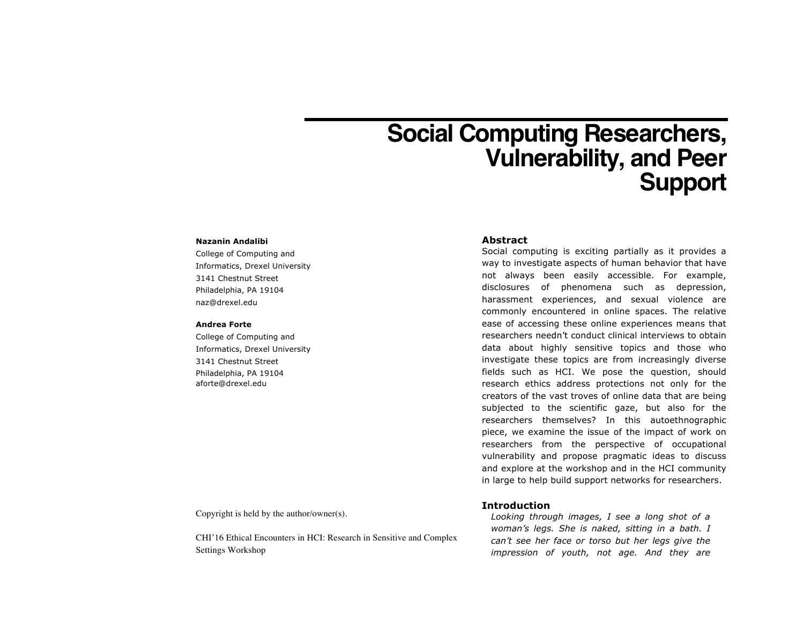# **Social Computing Researchers, Vulnerability, and Peer Support**

#### **Nazanin Andalibi**

College of Computing and Informatics, Drexel University 3141 Chestnut Street Philadelphia, PA 19104 naz@drexel.edu

#### **Andrea Forte**

College of Computing and Informatics, Drexel University 3141 Chestnut Street Philadelphia, PA 19104 aforte@drexel.edu

#### **Abstract**

Social computing is exciting partially as it provides a way to investigate aspects of human behavior that have not always been easily accessible. For example, disclosures of phenomena such as depression, harassment experiences, and sexual violence are commonly encountered in online spaces. The relative ease of accessing these online experiences means that researchers needn't conduct clinical interviews to obtain data about highly sensitive topics and those who investigate these topics are from increasingly diverse fields such as HCI. We pose the question, should research ethics address protections not only for the creators of the vast troves of online data that are being subjected to the scientific gaze, but also for the researchers themselves? In this autoethnographic piece, we examine the issue of the impact of work on researchers from the perspective of occupational vulnerability and propose pragmatic ideas to discuss and explore at the workshop and in the HCI community in large to help build support networks for researchers.

Copyright is held by the author/owner(s).

CHI'16 Ethical Encounters in HCI: Research in Sensitive and Complex Settings Workshop

## **Introduction**

*Looking through images, I see a long shot of a woman's legs. She is naked, sitting in a bath. I can't see her face or torso but her legs give the impression of youth, not age. And they are*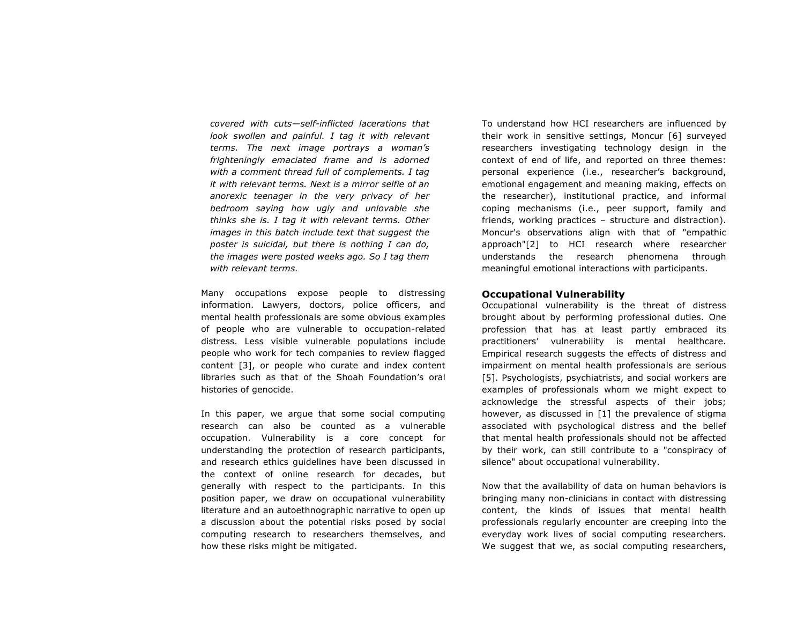*covered with cuts—self-inflicted lacerations that*  look swollen and painful. I tag it with relevant *terms. The next image portrays a woman's frighteningly emaciated frame and is adorned with a comment thread full of complements. I tag it with relevant terms. Next is a mirror selfie of an anorexic teenager in the very privacy of her bedroom saying how ugly and unlovable she thinks she is. I tag it with relevant terms. Other images in this batch include text that suggest the poster is suicidal, but there is nothing I can do, the images were posted weeks ago. So I tag them with relevant terms.*

Many occupations expose people to distressing information. Lawyers, doctors, police officers, and mental health professionals are some obvious examples of people who are vulnerable to occupation-related distress. Less visible vulnerable populations include people who work for tech companies to review flagged content [3], or people who curate and index content libraries such as that of the Shoah Foundation's oral histories of genocide.

In this paper, we argue that some social computing research can also be counted as a vulnerable occupation. Vulnerability is a core concept for understanding the protection of research participants, and research ethics guidelines have been discussed in the context of online research for decades, but generally with respect to the participants. In this position paper, we draw on occupational vulnerability literature and an autoethnographic narrative to open up a discussion about the potential risks posed by social computing research to researchers themselves, and how these risks might be mitigated.

To understand how HCI researchers are influenced by their work in sensitive settings, Moncur [6] surveyed researchers investigating technology design in the context of end of life, and reported on three themes: personal experience (i.e., researcher's background, emotional engagement and meaning making, effects on the researcher), institutional practice, and informal coping mechanisms (i.e., peer support, family and friends, working practices – structure and distraction). Moncur's observations align with that of "empathic approach"[2] to HCI research where researcher understands the research phenomena through meaningful emotional interactions with participants.

## **Occupational Vulnerability**

Occupational vulnerability is the threat of distress brought about by performing professional duties. One profession that has at least partly embraced its practitioners' vulnerability is mental healthcare. Empirical research suggests the effects of distress and impairment on mental health professionals are serious [5]. Psychologists, psychiatrists, and social workers are examples of professionals whom we might expect to acknowledge the stressful aspects of their jobs; however, as discussed in [1] the prevalence of stigma associated with psychological distress and the belief that mental health professionals should not be affected by their work, can still contribute to a "conspiracy of silence" about occupational vulnerability.

Now that the availability of data on human behaviors is bringing many non-clinicians in contact with distressing content, the kinds of issues that mental health professionals regularly encounter are creeping into the everyday work lives of social computing researchers. We suggest that we, as social computing researchers,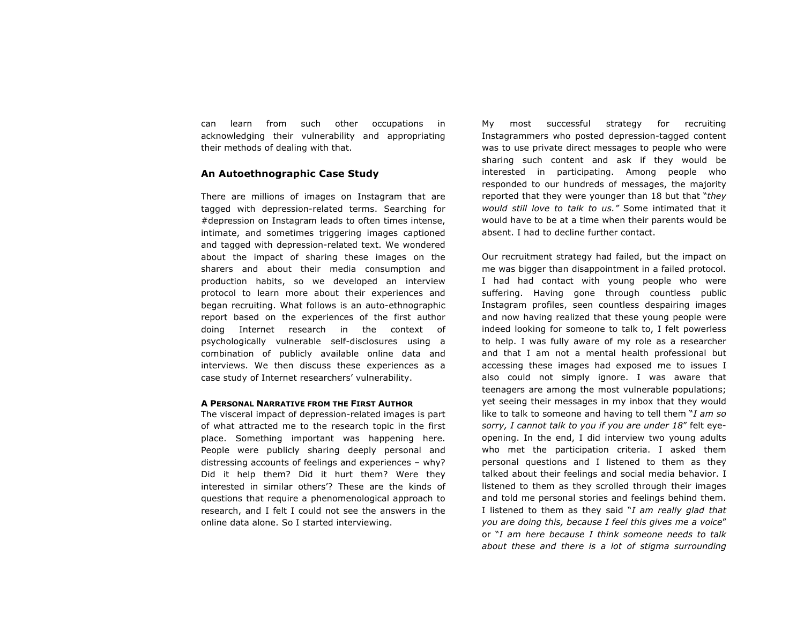can learn from such other occupations in acknowledging their vulnerability and appropriating their methods of dealing with that.

# **An Autoethnographic Case Study**

There are millions of images on Instagram that are tagged with depression-related terms. Searching for #depression on Instagram leads to often times intense, intimate, and sometimes triggering images captioned and tagged with depression-related text. We wondered about the impact of sharing these images on the sharers and about their media consumption and production habits, so we developed an interview protocol to learn more about their experiences and began recruiting. What follows is an auto-ethnographic report based on the experiences of the first author doing Internet research in the context of psychologically vulnerable self-disclosures using a combination of publicly available online data and interviews. We then discuss these experiences as a case study of Internet researchers' vulnerability.

## **A PERSONAL NARRATIVE FROM THE FIRST AUTHOR**

The visceral impact of depression-related images is part of what attracted me to the research topic in the first place. Something important was happening here. People were publicly sharing deeply personal and distressing accounts of feelings and experiences – why? Did it help them? Did it hurt them? Were they interested in similar others'? These are the kinds of questions that require a phenomenological approach to research, and I felt I could not see the answers in the online data alone. So I started interviewing.

My most successful strategy for recruiting Instagrammers who posted depression-tagged content was to use private direct messages to people who were sharing such content and ask if they would be interested in participating. Among people who responded to our hundreds of messages, the majority reported that they were younger than 18 but that "*they would still love to talk to us."* Some intimated that it would have to be at a time when their parents would be absent. I had to decline further contact.

Our recruitment strategy had failed, but the impact on me was bigger than disappointment in a failed protocol. I had had contact with young people who were suffering. Having gone through countless public Instagram profiles, seen countless despairing images and now having realized that these young people were indeed looking for someone to talk to, I felt powerless to help. I was fully aware of my role as a researcher and that I am not a mental health professional but accessing these images had exposed me to issues I also could not simply ignore. I was aware that teenagers are among the most vulnerable populations; yet seeing their messages in my inbox that they would like to talk to someone and having to tell them "*I am so sorry, I cannot talk to you if you are under 18*" felt eyeopening. In the end, I did interview two young adults who met the participation criteria. I asked them personal questions and I listened to them as they talked about their feelings and social media behavior. I listened to them as they scrolled through their images and told me personal stories and feelings behind them. I listened to them as they said "*I am really glad that you are doing this, because I feel this gives me a voice*" or "*I am here because I think someone needs to talk about these and there is a lot of stigma surrounding*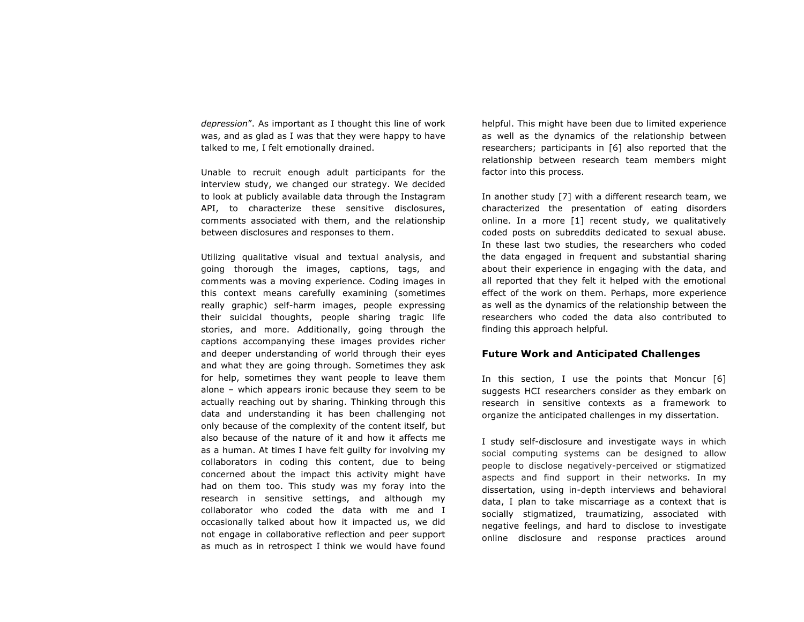*depression*". As important as I thought this line of work was, and as glad as I was that they were happy to have talked to me, I felt emotionally drained.

Unable to recruit enough adult participants for the interview study, we changed our strategy. We decided to look at publicly available data through the Instagram API, to characterize these sensitive disclosures, comments associated with them, and the relationship between disclosures and responses to them.

Utilizing qualitative visual and textual analysis, and going thorough the images, captions, tags, and comments was a moving experience. Coding images in this context means carefully examining (sometimes really graphic) self-harm images, people expressing their suicidal thoughts, people sharing tragic life stories, and more. Additionally, going through the captions accompanying these images provides richer and deeper understanding of world through their eyes and what they are going through. Sometimes they ask for help, sometimes they want people to leave them alone – which appears ironic because they seem to be actually reaching out by sharing. Thinking through this data and understanding it has been challenging not only because of the complexity of the content itself, but also because of the nature of it and how it affects me as a human. At times I have felt guilty for involving my collaborators in coding this content, due to being concerned about the impact this activity might have had on them too. This study was my foray into the research in sensitive settings, and although my collaborator who coded the data with me and I occasionally talked about how it impacted us, we did not engage in collaborative reflection and peer support as much as in retrospect I think we would have found

helpful. This might have been due to limited experience as well as the dynamics of the relationship between researchers; participants in [6] also reported that the relationship between research team members might factor into this process.

In another study [7] with a different research team, we characterized the presentation of eating disorders online. In a more [1] recent study, we qualitatively coded posts on subreddits dedicated to sexual abuse. In these last two studies, the researchers who coded the data engaged in frequent and substantial sharing about their experience in engaging with the data, and all reported that they felt it helped with the emotional effect of the work on them. Perhaps, more experience as well as the dynamics of the relationship between the researchers who coded the data also contributed to finding this approach helpful.

# **Future Work and Anticipated Challenges**

In this section, I use the points that Moncur [6] suggests HCI researchers consider as they embark on research in sensitive contexts as a framework to organize the anticipated challenges in my dissertation.

I study self-disclosure and investigate ways in which social computing systems can be designed to allow people to disclose negatively-perceived or stigmatized aspects and find support in their networks. In my dissertation, using in-depth interviews and behavioral data, I plan to take miscarriage as a context that is socially stigmatized, traumatizing, associated with negative feelings, and hard to disclose to investigate online disclosure and response practices around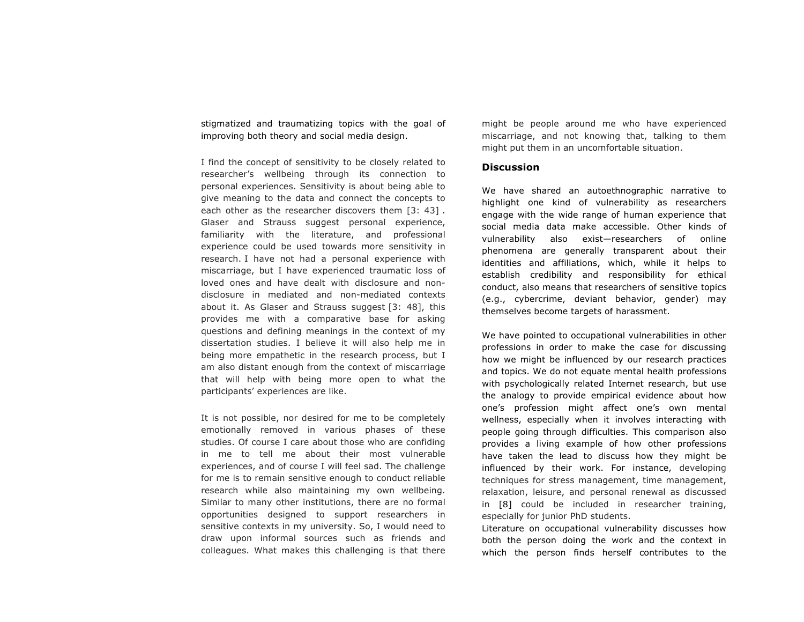stigmatized and traumatizing topics with the goal of improving both theory and social media design.

I find the concept of sensitivity to be closely related to researcher's wellbeing through its connection to personal experiences. Sensitivity is about being able to give meaning to the data and connect the concepts to each other as the researcher discovers them [3: 43]. Glaser and Strauss suggest personal experience, familiarity with the literature, and professional experience could be used towards more sensitivity in research. I have not had a personal experience with miscarriage, but I have experienced traumatic loss of loved ones and have dealt with disclosure and nondisclosure in mediated and non-mediated contexts about it. As Glaser and Strauss suggest [3: 48], this provides me with a comparative base for asking questions and defining meanings in the context of my dissertation studies. I believe it will also help me in being more empathetic in the research process, but I am also distant enough from the context of miscarriage that will help with being more open to what the participants' experiences are like.

It is not possible, nor desired for me to be completely emotionally removed in various phases of these studies. Of course I care about those who are confiding in me to tell me about their most vulnerable experiences, and of course I will feel sad. The challenge for me is to remain sensitive enough to conduct reliable research while also maintaining my own wellbeing. Similar to many other institutions, there are no formal opportunities designed to support researchers in sensitive contexts in my university. So, I would need to draw upon informal sources such as friends and colleagues. What makes this challenging is that there might be people around me who have experienced miscarriage, and not knowing that, talking to them might put them in an uncomfortable situation.

# **Discussion**

We have shared an autoethnographic narrative to highlight one kind of vulnerability as researchers engage with the wide range of human experience that social media data make accessible. Other kinds of vulnerability also exist—researchers of online phenomena are generally transparent about their identities and affiliations, which, while it helps to establish credibility and responsibility for ethical conduct, also means that researchers of sensitive topics (e.g., cybercrime, deviant behavior, gender) may themselves become targets of harassment.

We have pointed to occupational vulnerabilities in other professions in order to make the case for discussing how we might be influenced by our research practices and topics. We do not equate mental health professions with psychologically related Internet research, but use the analogy to provide empirical evidence about how one's profession might affect one's own mental wellness, especially when it involves interacting with people going through difficulties. This comparison also provides a living example of how other professions have taken the lead to discuss how they might be influenced by their work. For instance, developing techniques for stress management, time management, relaxation, leisure, and personal renewal as discussed in [8] could be included in researcher training, especially for junior PhD students.

Literature on occupational vulnerability discusses how both the person doing the work and the context in which the person finds herself contributes to the